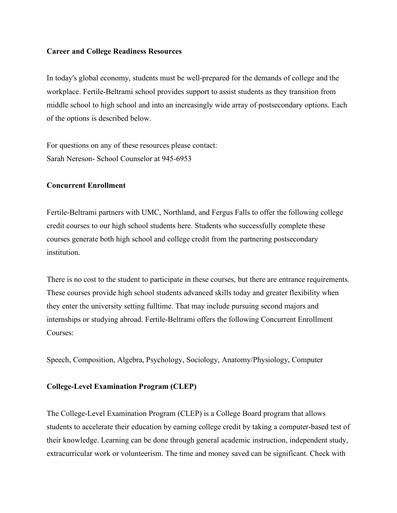## **Career and College Readiness Resources**

In today's global economy, students must be well-prepared for the demands of college and the workplace. Fertile-Beltrami school provides support to assist students as they transition from middle school to high school and into an increasingly wide array of postsecondary options. Each of the options is described below.

For questions on any of these resources please contact: Sarah Nereson- School Counselor at 945-6953

## **Concurrent Enrollment**

Fertile-Beltrami partners with UMC, Northland, and Fergus Falls to offer the following college credit courses to our high school students here. Students who successfully complete these courses generate both high school and college credit from the partnering postsecondary institution.

There is no cost to the student to participate in these courses, but there are entrance requirements. These courses provide high school students advanced skills today and greater flexibility when they enter the university setting fulltime. That may include pursuing second majors and internships or studying abroad. Fertile-Beltrami offers the following Concurrent Enrollment Courses:

Speech, Composition, Algebra, Psychology, Sociology, Anatomy/Physiology, Computer

## **College-Level Examination Program (CLEP)**

The College-Level Examination Program (CLEP) is a College Board program that allows students to accelerate their education by earning college credit by taking a computer-based test of their knowledge. Learning can be done through general academic instruction, independent study, extracurricular work or volunteerism. The time and money saved can be significant. Check with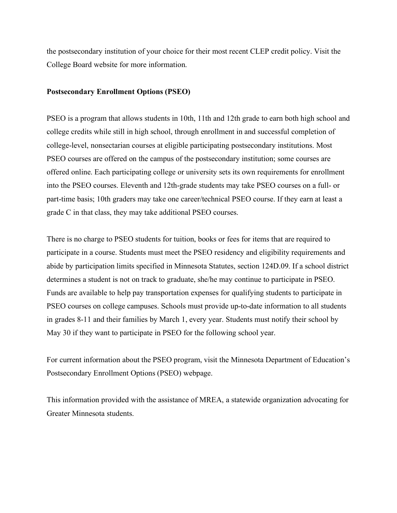the postsecondary institution of your choice for their most recent CLEP credit policy. Visit the College Board website for more information.

## **Postsecondary Enrollment Options (PSEO)**

PSEO is a program that allows students in 10th, 11th and 12th grade to earn both high school and college credits while still in high school, through enrollment in and successful completion of college-level, nonsectarian courses at eligible participating postsecondary institutions. Most PSEO courses are offered on the campus of the postsecondary institution; some courses are offered online. Each participating college or university sets its own requirements for enrollment into the PSEO courses. Eleventh and 12th-grade students may take PSEO courses on a full- or part-time basis; 10th graders may take one career/technical PSEO course. If they earn at least a grade C in that class, they may take additional PSEO courses.

There is no charge to PSEO students for tuition, books or fees for items that are required to participate in a course. Students must meet the PSEO residency and eligibility requirements and abide by participation limits specified in Minnesota Statutes, section 124D.09. If a school district determines a student is not on track to graduate, she/he may continue to participate in PSEO. Funds are available to help pay transportation expenses for qualifying students to participate in PSEO courses on college campuses. Schools must provide up-to-date information to all students in grades 8-11 and their families by March 1, every year. Students must notify their school by May 30 if they want to participate in PSEO for the following school year.

For current information about the PSEO program, visit the Minnesota Department of Education's Postsecondary Enrollment Options (PSEO) webpage.

This information provided with the assistance of MREA, a statewide organization advocating for Greater Minnesota students.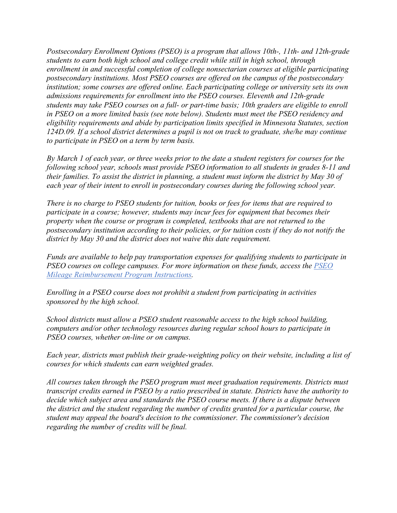*Postsecondary Enrollment Options (PSEO) is a program that allows 10th-, 11th- and 12th-grade students to earn both high school and college credit while still in high school, through enrollment in and successful completion of college nonsectarian courses at eligible participating postsecondary institutions. Most PSEO courses are offered on the campus of the postsecondary institution; some courses are offered online. Each participating college or university sets its own admissions requirements for enrollment into the PSEO courses. Eleventh and 12th-grade students may take PSEO courses on a full- or part-time basis; 10th graders are eligible to enroll in PSEO on a more limited basis (see note below). Students must meet the PSEO residency and eligibility requirements and abide by participation limits specified in Minnesota Statutes, section 124D.09. If a school district determines a pupil is not on track to graduate, she/he may continue to participate in PSEO on a term by term basis.* 

*By March 1 of each year, or three weeks prior to the date a student registers for courses for the following school year, schools must provide PSEO information to all students in grades 8-11 and their families. To assist the district in planning, a student must inform the district by May 30 of each year of their intent to enroll in postsecondary courses during the following school year.* 

*There is no charge to PSEO students for tuition, books or fees for items that are required to participate in a course; however, students may incur fees for equipment that becomes their property when the course or program is completed, textbooks that are not returned to the postsecondary institution according to their policies, or for tuition costs if they do not notify the district by May 30 and the district does not waive this date requirement.* 

*Funds are available to help pay transportation expenses for qualifying students to participate in PSEO courses on college campuses. For more information on these funds, access the PSEO Mileage Reimbursement Program Instructions.* 

*Enrolling in a PSEO course does not prohibit a student from participating in activities sponsored by the high school.* 

*School districts must allow a PSEO student reasonable access to the high school building, computers and/or other technology resources during regular school hours to participate in PSEO courses, whether on-line or on campus.* 

*Each year, districts must publish their grade-weighting policy on their website, including a list of courses for which students can earn weighted grades.* 

*All courses taken through the PSEO program must meet graduation requirements. Districts must transcript credits earned in PSEO by a ratio prescribed in statute. Districts have the authority to decide which subject area and standards the PSEO course meets. If there is a dispute between the district and the student regarding the number of credits granted for a particular course, the student may appeal the board's decision to the commissioner. The commissioner's decision regarding the number of credits will be final.*